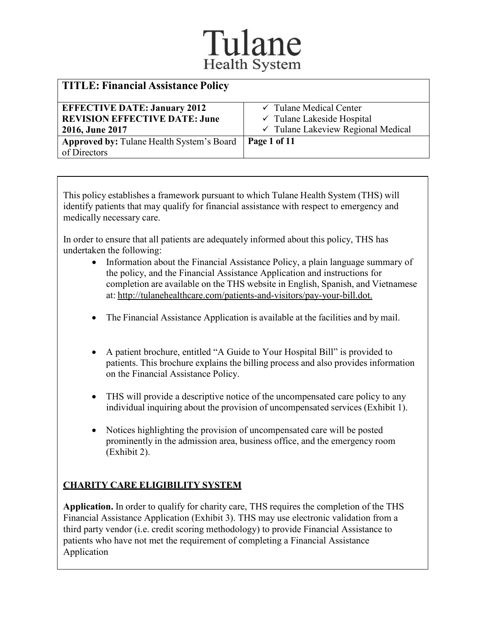| <b>TITLE: Financial Assistance Policy</b>        |                                               |
|--------------------------------------------------|-----------------------------------------------|
| <b>EFFECTIVE DATE: January 2012</b>              | $\checkmark$ Tulane Medical Center            |
| <b>REVISION EFFECTIVE DATE: June</b>             | $\checkmark$ Tulane Lakeside Hospital         |
| 2016, June 2017                                  | $\checkmark$ Tulane Lakeview Regional Medical |
| <b>Approved by: Tulane Health System's Board</b> | Page 1 of 11                                  |
| of Directors                                     |                                               |

This policy establishes a framework pursuant to which Tulane Health System (THS) will identify patients that may qualify for financial assistance with respect to emergency and medically necessary care.

In order to ensure that all patients are adequately informed about this policy, THS has undertaken the following:

- Information about the Financial Assistance Policy, a plain language summary of the policy, and the Financial Assistance Application and instructions for completion are available on the THS website in English, Spanish, and Vietnamese at: [http://tulanehealthcare.com/patients-and-visitors/pay-your-bill.dot.](https://tulanehealthcare.com/patients-and-visitors/pay-your-bill.dot)
- The Financial Assistance Application is available at the facilities and by mail.
- A patient brochure, entitled "A Guide to Your Hospital Bill" is provided to patients. This brochure explains the billing process and also provides information on the Financial Assistance Policy.
- THS will provide a descriptive notice of the uncompensated care policy to any individual inquiring about the provision of uncompensated services (Exhibit 1).
- Notices highlighting the provision of uncompensated care will be posted prominently in the admission area, business office, and the emergency room (Exhibit 2).

#### **CHARITY CARE ELIGIBILITY SYSTEM**

**Application.** In order to qualify for charity care, THS requires the completion of the THS Financial Assistance Application (Exhibit 3). THS may use electronic validation from a third party vendor (i.e. credit scoring methodology) to provide Financial Assistance to patients who have not met the requirement of completing a Financial Assistance Application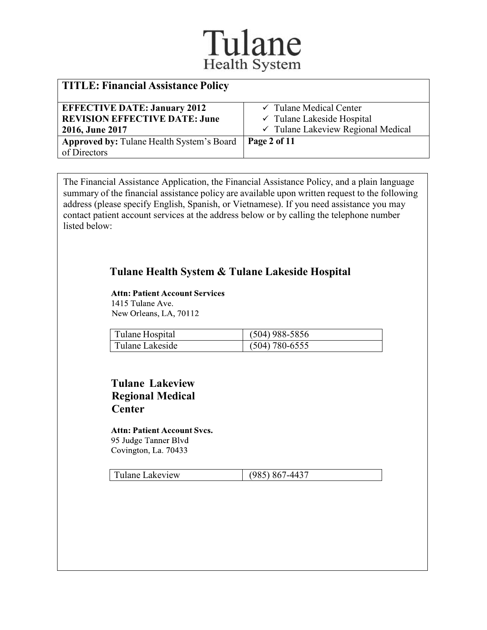| <b>TITLE: Financial Assistance Policy</b> |                                               |
|-------------------------------------------|-----------------------------------------------|
| <b>EFFECTIVE DATE: January 2012</b>       | $\checkmark$ Tulane Medical Center            |
| <b>REVISION EFFECTIVE DATE: June</b>      | $\checkmark$ Tulane Lakeside Hospital         |
| 2016, June 2017                           | $\checkmark$ Tulane Lakeview Regional Medical |
| Approved by: Tulane Health System's Board | Page 2 of 11                                  |
| of Directors                              |                                               |

The Financial Assistance Application, the Financial Assistance Policy, and a plain language summary of the financial assistance policy are available upon written request to the following address (please specify English, Spanish, or Vietnamese). If you need assistance you may contact patient account services at the address below or by calling the telephone number listed below:

#### **Tulane Health System & Tulane Lakeside Hospital**

#### Attn: Patient Account Services 1415 Tulane Ave.

New Orleans, LA, 70112

| Tulane Hospital | $(504)$ 988-5856 |
|-----------------|------------------|
| Tulane Lakeside | $(504)$ 780-6555 |

#### **Tulane Lakeview Regional Medical Center**

#### Attn: Patient Account Svcs. 95 Judge Tanner Blvd Covington, La. 70433

Tulane Lakeview (985) 867-4437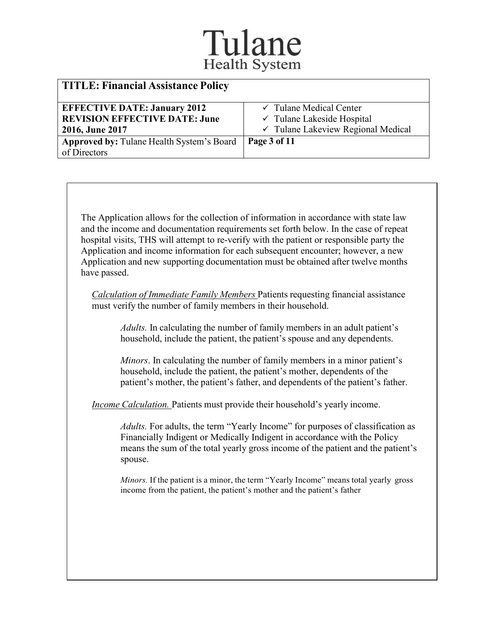| <b>TITLE: Financial Assistance Policy</b>        |                                       |
|--------------------------------------------------|---------------------------------------|
| <b>EFFECTIVE DATE: January 2012</b>              | $\checkmark$ Tulane Medical Center    |
| <b>REVISION EFFECTIVE DATE: June</b>             | $\checkmark$ Tulane Lakeside Hospital |
| 2016, June 2017                                  | √ Tulane Lakeview Regional Medical    |
| <b>Approved by: Tulane Health System's Board</b> | Page 3 of 11                          |
| of Directors                                     |                                       |
|                                                  |                                       |

The Application allows for the collection of information in accordance with state law and the income and documentation requirements set forth below. In the case of repeat hospital visits, THS will attempt to re-verify with the patient or responsible party the Application and income information for each subsequent encounter; however, a new Application and new supporting documentation must be obtained after twelve months have passed.

*Calculation of Immediate Family Members* Patients requesting financial assistance must verify the number of family members in their household.

*Adults.* In calculating the number of family members in an adult patient's household, include the patient, the patient's spouse and any dependents.

*Minors*. In calculating the number of family members in a minor patient's household, include the patient, the patient's mother, dependents of the patient's mother, the patient's father, and dependents of the patient's father.

*Income Calculation.* Patients must provide their household's yearly income.

*Adults.* For adults, the term "Yearly Income" for purposes of classification as Financially Indigent or Medically Indigent in accordance with the Policy means the sum of the total yearly gross income of the patient and the patient's spouse.

*Minors.* If the patient is a minor, the term "Yearly Income" means total yearly gross income from the patient, the patient's mother and the patient's father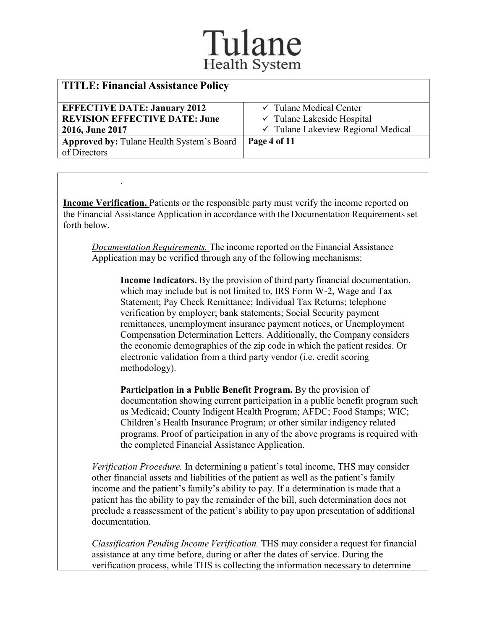| $\checkmark$ Tulane Medical Center            |
|-----------------------------------------------|
| $\checkmark$ Tulane Lakeside Hospital         |
| $\checkmark$ Tulane Lakeview Regional Medical |
| Page 4 of 11                                  |
|                                               |
|                                               |

**Income Verification.** Patients or the responsible party must verify the income reported on the Financial Assistance Application in accordance with the Documentation Requirements set forth below.

.

*Documentation Requirements.* The income reported on the Financial Assistance Application may be verified through any of the following mechanisms:

**Income Indicators.** By the provision of third party financial documentation, which may include but is not limited to, IRS Form W-2, Wage and Tax Statement; Pay Check Remittance; Individual Tax Returns; telephone verification by employer; bank statements; Social Security payment remittances, unemployment insurance payment notices, or Unemployment Compensation Determination Letters. Additionally, the Company considers the economic demographics of the zip code in which the patient resides. Or electronic validation from a third party vendor (i.e. credit scoring methodology).

**Participation in a Public Benefit Program.** By the provision of documentation showing current participation in a public benefit program such as Medicaid; County Indigent Health Program; AFDC; Food Stamps; WIC; Children's Health Insurance Program; or other similar indigency related programs. Proof of participation in any of the above programs is required with the completed Financial Assistance Application.

*Verification Procedure.* In determining a patient's total income, THS may consider other financial assets and liabilities of the patient as well as the patient's family income and the patient's family's ability to pay. If a determination is made that a patient has the ability to pay the remainder of the bill, such determination does not preclude a reassessment of the patient's ability to pay upon presentation of additional documentation.

*Classification Pending Income Verification.* THS may consider a request for financial assistance at any time before, during or after the dates of service. During the verification process, while THS is collecting the information necessary to determine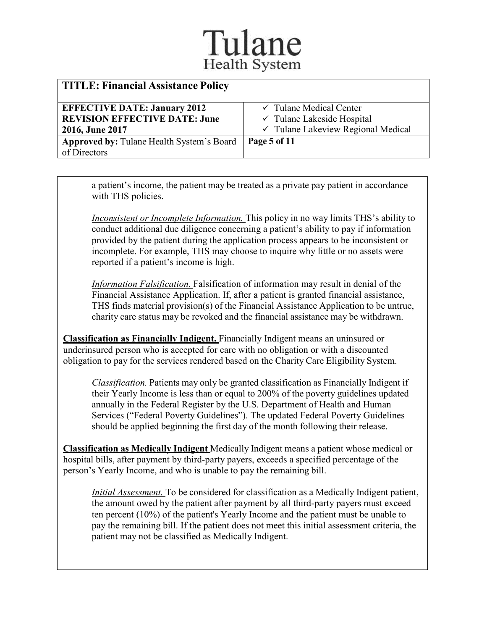| <b>TITLE: Financial Assistance Policy</b> |                                       |
|-------------------------------------------|---------------------------------------|
| <b>EFFECTIVE DATE: January 2012</b>       | $\checkmark$ Tulane Medical Center    |
| <b>REVISION EFFECTIVE DATE: June</b>      | $\checkmark$ Tulane Lakeside Hospital |
| 2016, June 2017                           | √ Tulane Lakeview Regional Medical    |
| Approved by: Tulane Health System's Board | Page 5 of 11                          |
| of Directors                              |                                       |

a patient's income, the patient may be treated as a private pay patient in accordance with THS policies.

*Inconsistent or Incomplete Information.* This policy in no way limits THS's ability to conduct additional due diligence concerning a patient's ability to pay if information provided by the patient during the application process appears to be inconsistent or incomplete. For example, THS may choose to inquire why little or no assets were reported if a patient's income is high.

*Information Falsification.* Falsification of information may result in denial of the Financial Assistance Application. If, after a patient is granted financial assistance, THS finds material provision(s) of the Financial Assistance Application to be untrue, charity care status may be revoked and the financial assistance may be withdrawn.

**Classification as Financially Indigent.** Financially Indigent means an uninsured or underinsured person who is accepted for care with no obligation or with a discounted obligation to pay for the services rendered based on the Charity Care Eligibility System.

*Classification.* Patients may only be granted classification as Financially Indigent if their Yearly Income is less than or equal to 200% of the poverty guidelines updated annually in the Federal Register by the U.S. Department of Health and Human Services ("Federal Poverty Guidelines"). The updated Federal Poverty Guidelines should be applied beginning the first day of the month following their release.

**Classification as Medically Indigent** Medically Indigent means a patient whose medical or hospital bills, after payment by third-party payers, exceeds a specified percentage of the person's Yearly Income, and who is unable to pay the remaining bill.

*Initial Assessment.* To be considered for classification as a Medically Indigent patient, the amount owed by the patient after payment by all third-party payers must exceed ten percent (10%) of the patient's Yearly Income and the patient must be unable to pay the remaining bill. If the patient does not meet this initial assessment criteria, the patient may not be classified as Medically Indigent.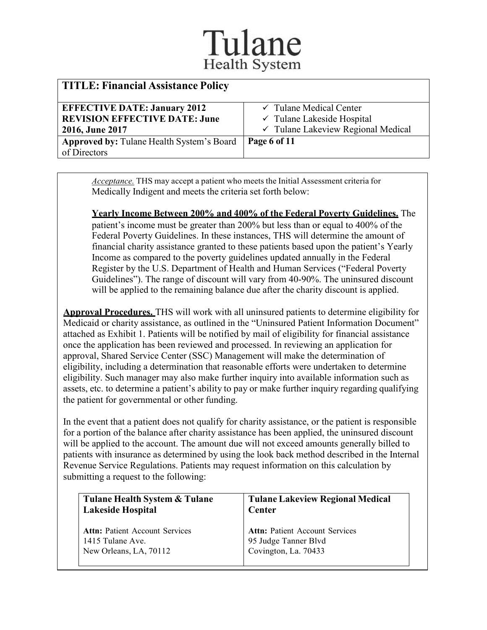| <b>TITLE: Financial Assistance Policy</b>        |                                               |
|--------------------------------------------------|-----------------------------------------------|
| <b>EFFECTIVE DATE: January 2012</b>              | $\checkmark$ Tulane Medical Center            |
| <b>REVISION EFFECTIVE DATE: June</b>             | $\checkmark$ Tulane Lakeside Hospital         |
| 2016, June 2017                                  | $\checkmark$ Tulane Lakeview Regional Medical |
| <b>Approved by: Tulane Health System's Board</b> | Page 6 of 11                                  |
| of Directors                                     |                                               |

*Acceptance.* THS may accept a patient who meets the Initial Assessment criteria for Medically Indigent and meets the criteria set forth below:

**Yearly Income Between 200% and 400% of the Federal Poverty Guidelines.** The patient's income must be greater than 200% but less than or equal to 400% of the Federal Poverty Guidelines. In these instances, THS will determine the amount of financial charity assistance granted to these patients based upon the patient's Yearly Income as compared to the poverty guidelines updated annually in the Federal Register by the U.S. Department of Health and Human Services ("Federal Poverty Guidelines"). The range of discount will vary from 40-90%. The uninsured discount will be applied to the remaining balance due after the charity discount is applied.

**Approval Procedures.** THS will work with all uninsured patients to determine eligibility for Medicaid or charity assistance, as outlined in the "Uninsured Patient Information Document" attached as Exhibit 1. Patients will be notified by mail of eligibility for financial assistance once the application has been reviewed and processed. In reviewing an application for approval, Shared Service Center (SSC) Management will make the determination of eligibility, including a determination that reasonable efforts were undertaken to determine eligibility. Such manager may also make further inquiry into available information such as assets, etc. to determine a patient's ability to pay or make further inquiry regarding qualifying the patient for governmental or other funding.

In the event that a patient does not qualify for charity assistance, or the patient is responsible for a portion of the balance after charity assistance has been applied, the uninsured discount will be applied to the account. The amount due will not exceed amounts generally billed to patients with insurance as determined by using the look back method described in the Internal Revenue Service Regulations. Patients may request information on this calculation by submitting a request to the following:

| Tulane Health System & Tulane         | <b>Tulane Lakeview Regional Medical</b> |
|---------------------------------------|-----------------------------------------|
| <b>Lakeside Hospital</b>              | Center                                  |
| <b>Attn:</b> Patient Account Services | <b>Attn: Patient Account Services</b>   |
| 1415 Tulane Ave.                      | 95 Judge Tanner Blvd                    |
| New Orleans, LA, 70112                | Covington, La. 70433                    |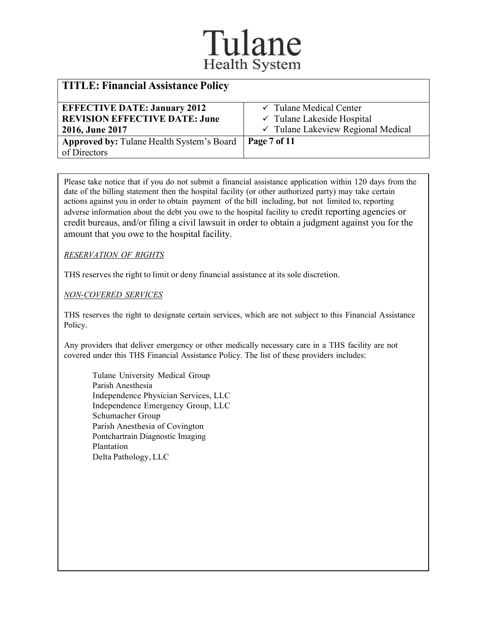| <b>TITLE: Financial Assistance Policy</b>        |                                               |
|--------------------------------------------------|-----------------------------------------------|
| <b>EFFECTIVE DATE: January 2012</b>              | $\checkmark$ Tulane Medical Center            |
| <b>REVISION EFFECTIVE DATE: June</b>             | $\checkmark$ Tulane Lakeside Hospital         |
| 2016, June 2017                                  | $\checkmark$ Tulane Lakeview Regional Medical |
| <b>Approved by: Tulane Health System's Board</b> | Page 7 of 11                                  |
| of Directors                                     |                                               |

Please take notice that if you do not submit a financial assistance application within 120 days from the date of the billing statement then the hospital facility (or other authorized party) may take certain actions against you in order to obtain payment of the bill including, but not limited to, reporting adverse information about the debt you owe to the hospital facility to credit reporting agencies or credit bureaus, and/or filing a civil lawsuit in order to obtain a judgment against you for the amount that you owe to the hospital facility.

#### *RESERVATION OF RIGHTS*

THS reserves the right to limit or deny financial assistance at its sole discretion.

*NON-COVERED SERVICES*

THS reserves the right to designate certain services, which are not subject to this Financial Assistance Policy.

Any providers that deliver emergency or other medically necessary care in a THS facility are not covered under this THS Financial Assistance Policy. The list of these providers includes:

Tulane University Medical Group Parish Anesthesia Independence Physician Services, LLC Independence Emergency Group, LLC Schumacher Group Parish Anesthesia of Covington Pontchartrain Diagnostic Imaging Plantation Delta Pathology, LLC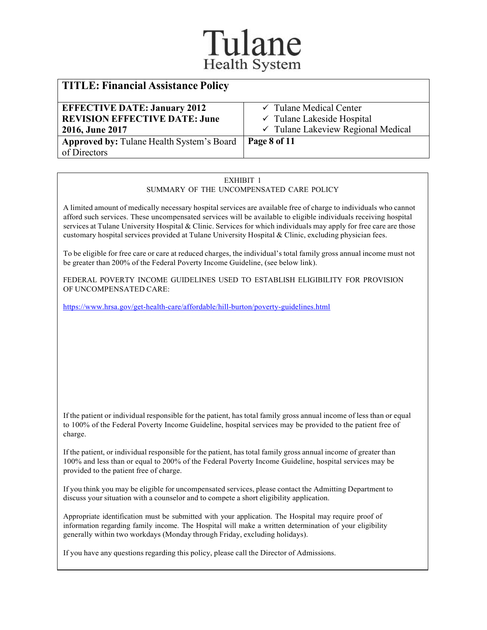| <b>TITLE: Financial Assistance Policy</b> |                                       |
|-------------------------------------------|---------------------------------------|
| <b>EFFECTIVE DATE: January 2012</b>       | $\checkmark$ Tulane Medical Center    |
| <b>REVISION EFFECTIVE DATE: June</b>      | $\checkmark$ Tulane Lakeside Hospital |
| 2016, June 2017                           | √ Tulane Lakeview Regional Medical    |
| Approved by: Tulane Health System's Board | Page 8 of 11                          |
| of Directors                              |                                       |

#### EXHIBIT 1 SUMMARY OF THE UNCOMPENSATED CARE POLICY

A limited amount of medically necessary hospital services are available free of charge to individuals who cannot afford such services. These uncompensated services will be available to eligible individuals receiving hospital services at Tulane University Hospital & Clinic. Services for which individuals may apply for free care are those customary hospital services provided at Tulane University Hospital & Clinic, excluding physician fees.

To be eligible for free care or care at reduced charges, the individual's total family gross annual income must not be greater than 200% of the Federal Poverty Income Guideline, (see below link).

FEDERAL POVERTY INCOME GUIDELINES USED TO ESTABLISH ELIGIBILITY FOR PROVISION OF UNCOMPENSATED CARE:

<https://www.hrsa.gov/get-health-care/affordable/hill-burton/poverty-guidelines.html>

If the patient or individual responsible for the patient, has total family gross annual income of less than or equal to 100% of the Federal Poverty Income Guideline, hospital services may be provided to the patient free of charge.

If the patient, or individual responsible for the patient, has total family gross annual income of greater than 100% and less than or equal to 200% of the Federal Poverty Income Guideline, hospital services may be provided to the patient free of charge.

If you think you may be eligible for uncompensated services, please contact the Admitting Department to discuss your situation with a counselor and to compete a short eligibility application.

Appropriate identification must be submitted with your application. The Hospital may require proof of information regarding family income. The Hospital will make a written determination of your eligibility generally within two workdays (Monday through Friday, excluding holidays).

If you have any questions regarding this policy, please call the Director of Admissions.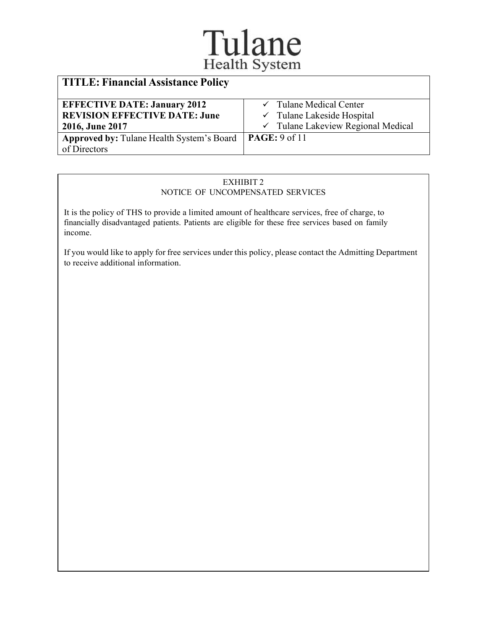# Tulane

| <b>TITLE: Financial Assistance Policy</b>                 |                                               |
|-----------------------------------------------------------|-----------------------------------------------|
| <b>EFFECTIVE DATE: January 2012</b>                       | $\checkmark$ Tulane Medical Center            |
| <b>REVISION EFFECTIVE DATE: June</b>                      | $\checkmark$ Tulane Lakeside Hospital         |
| 2016, June 2017                                           | $\checkmark$ Tulane Lakeview Regional Medical |
| Approved by: Tulane Health System's Board   PAGE: 9 of 11 |                                               |
| of Directors                                              |                                               |

#### EXHIBIT 2 NOTICE OF UNCOMPENSATED SERVICES

It is the policy of THS to provide a limited amount of healthcare services, free of charge, to financially disadvantaged patients. Patients are eligible for these free services based on family income.

If you would like to apply for free services under this policy, please contact the Admitting Department to receive additional information.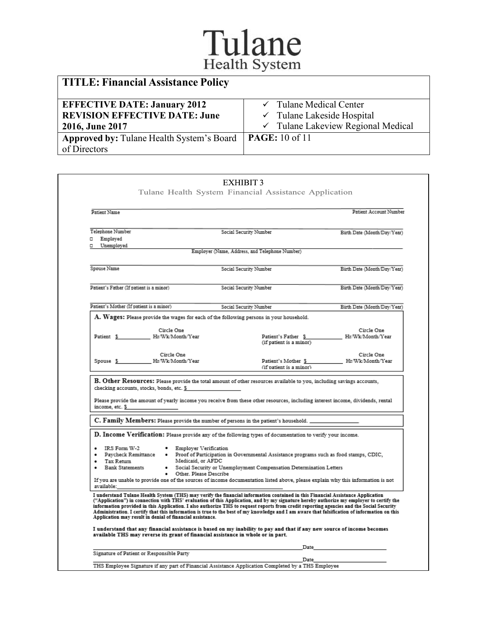# Tulane

| <b>TITLE: Financial Assistance Policy</b>                  |                                               |
|------------------------------------------------------------|-----------------------------------------------|
| <b>EFFECTIVE DATE: January 2012</b>                        | $\checkmark$ Tulane Medical Center            |
| <b>REVISION EFFECTIVE DATE: June</b>                       | $\checkmark$ Tulane Lakeside Hospital         |
| 2016, June 2017                                            | $\checkmark$ Tulane Lakeview Regional Medical |
| Approved by: Tulane Health System's Board   PAGE: 10 of 11 |                                               |
| of Directors                                               |                                               |

| Patient Name                                              |                                                                                  |                                                                                                                                                                                                                                                                                                                                                                                                                                                                                                                                                                        | Patient Account Number                             |
|-----------------------------------------------------------|----------------------------------------------------------------------------------|------------------------------------------------------------------------------------------------------------------------------------------------------------------------------------------------------------------------------------------------------------------------------------------------------------------------------------------------------------------------------------------------------------------------------------------------------------------------------------------------------------------------------------------------------------------------|----------------------------------------------------|
| Telephone Number<br>Employed<br>о                         |                                                                                  | Social Security Number                                                                                                                                                                                                                                                                                                                                                                                                                                                                                                                                                 | Birth Date (Month/Day/Year)                        |
| Unemployed<br>п.                                          |                                                                                  | Employer (Name, Address, and Telephone Number)                                                                                                                                                                                                                                                                                                                                                                                                                                                                                                                         |                                                    |
| Spouse Name                                               |                                                                                  | Social Security Number                                                                                                                                                                                                                                                                                                                                                                                                                                                                                                                                                 | Birth Date (Month/Day/Year)                        |
| Patient's Father (If patient is a minor)                  |                                                                                  | Social Security Number                                                                                                                                                                                                                                                                                                                                                                                                                                                                                                                                                 | Birth Date (Month/Day/Year)                        |
| Patient's Mother (If patient is a minor)                  |                                                                                  | Social Security Number                                                                                                                                                                                                                                                                                                                                                                                                                                                                                                                                                 | Birth Date (Month/Day/Year)                        |
|                                                           |                                                                                  | ${\bf A.~Wages:}$ Please provide the wages for each of the following persons in your household.                                                                                                                                                                                                                                                                                                                                                                                                                                                                        |                                                    |
|                                                           | Circle One<br>Patient \$ Hr/Wk/Month/Year                                        | (if patient is a minor)                                                                                                                                                                                                                                                                                                                                                                                                                                                                                                                                                | Circle One<br>Patient's Father \$ Hr/Wk/Month/Year |
|                                                           | Circle One<br>Spouse \$ Hr/Wk/Month/Year                                         | Patient's Mother \$ Hr/Wk/Month/Year                                                                                                                                                                                                                                                                                                                                                                                                                                                                                                                                   | Circle One                                         |
|                                                           | checking accounts, stocks, bonds, etc. \$                                        | (if patient is a minor)<br>B. Other Resources: Please provide the total amount of other resources available to you, including savings accounts,                                                                                                                                                                                                                                                                                                                                                                                                                        |                                                    |
| income, etc. \$                                           |                                                                                  | Please provide the amount of yearly income you receive from these other resources, including interest income, dividends, rental<br>C. Family Members: Please provide the number of persons in the patient's household. $\equiv$                                                                                                                                                                                                                                                                                                                                        |                                                    |
|                                                           |                                                                                  | D. Income Verification: Please provide any of the following types of documentation to verify your income.                                                                                                                                                                                                                                                                                                                                                                                                                                                              |                                                    |
| $\bullet$ IRS Form W-2<br>Tax Return<br>• Bank Statements | • Employer Verification<br>Medicaid, or AFDC                                     | Paycheck Remittance . Proof of Participation in Governmental Assistance programs such as food stamps, CDIC,<br>· Social Security or Unemployment Compensation Determination Letters                                                                                                                                                                                                                                                                                                                                                                                    |                                                    |
| available:                                                | • Other. Please Describe                                                         | If you are unable to provide one of the sources of income documentation listed above, please explain why this information is not                                                                                                                                                                                                                                                                                                                                                                                                                                       |                                                    |
|                                                           | Application may result in denial of financial assistance.                        | I understand Tulane Health System (THS) may verify the financial information contained in this Financial Assistance Application<br>("Application") in connection with THS' evaluation of this Application, and by my signature hereby authorize my employer to certify the<br>information provided in this Application. I also authorize THS to request reports from credit reporting agencies and the Social Security<br>Administration. I certify that this information is true to the best of my knowledge and I am aware that falsification of information on this |                                                    |
|                                                           | available THS may reverse its grant of financial assistance in whole or in part. | I understand that any financial assistance is based on my inability to pay and that if any new source of income becomes<br>Date                                                                                                                                                                                                                                                                                                                                                                                                                                        |                                                    |